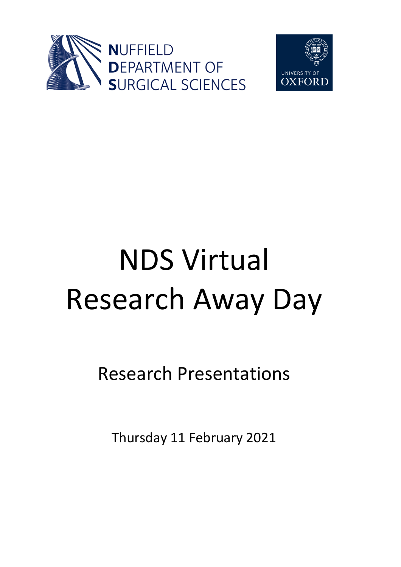



# NDS Virtual Research Away Day

Research Presentations

Thursday 11 February 2021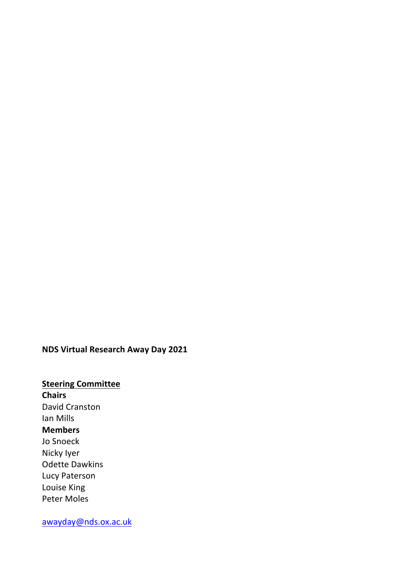#### **NDS Virtual Research Away Day 2021**

**Steering Committee Chairs** David Cranston Ian Mills **Members** Jo Snoeck Nicky Iyer Odette Dawkins Lucy Paterson Louise King Peter Moles

awayday@nds.ox.ac.uk